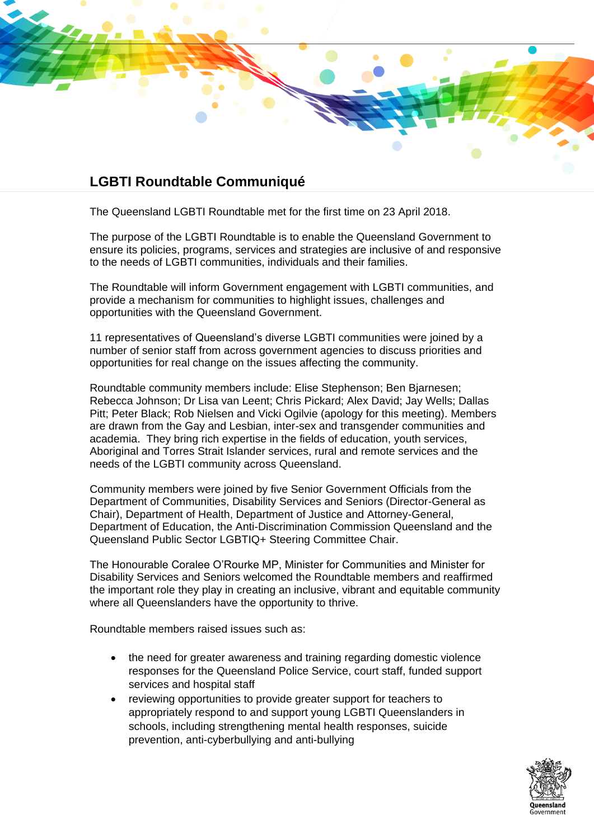

## **LGBTI Roundtable Communiqué**

The Queensland LGBTI Roundtable met for the first time on 23 April 2018.

The purpose of the LGBTI Roundtable is to enable the Queensland Government to ensure its policies, programs, services and strategies are inclusive of and responsive to the needs of LGBTI communities, individuals and their families.

The Roundtable will inform Government engagement with LGBTI communities, and provide a mechanism for communities to highlight issues, challenges and opportunities with the Queensland Government.

11 representatives of Queensland's diverse LGBTI communities were joined by a number of senior staff from across government agencies to discuss priorities and opportunities for real change on the issues affecting the community.

Roundtable community members include: Elise Stephenson; Ben Bjarnesen; Rebecca Johnson; Dr Lisa van Leent; Chris Pickard; Alex David; Jay Wells; Dallas Pitt; Peter Black; Rob Nielsen and Vicki Ogilvie (apology for this meeting). Members are drawn from the Gay and Lesbian, inter-sex and transgender communities and academia. They bring rich expertise in the fields of education, youth services, Aboriginal and Torres Strait Islander services, rural and remote services and the needs of the LGBTI community across Queensland.

Community members were joined by five Senior Government Officials from the Department of Communities, Disability Services and Seniors (Director-General as Chair), Department of Health, Department of Justice and Attorney-General, Department of Education, the Anti-Discrimination Commission Queensland and the Queensland Public Sector LGBTIQ+ Steering Committee Chair.

The Honourable Coralee O'Rourke MP, Minister for Communities and Minister for Disability Services and Seniors welcomed the Roundtable members and reaffirmed the important role they play in creating an inclusive, vibrant and equitable community where all Queenslanders have the opportunity to thrive.

Roundtable members raised issues such as:

- the need for greater awareness and training regarding domestic violence responses for the Queensland Police Service, court staff, funded support services and hospital staff
- reviewing opportunities to provide greater support for teachers to appropriately respond to and support young LGBTI Queenslanders in schools, including strengthening mental health responses, suicide prevention, anti-cyberbullying and anti-bullying